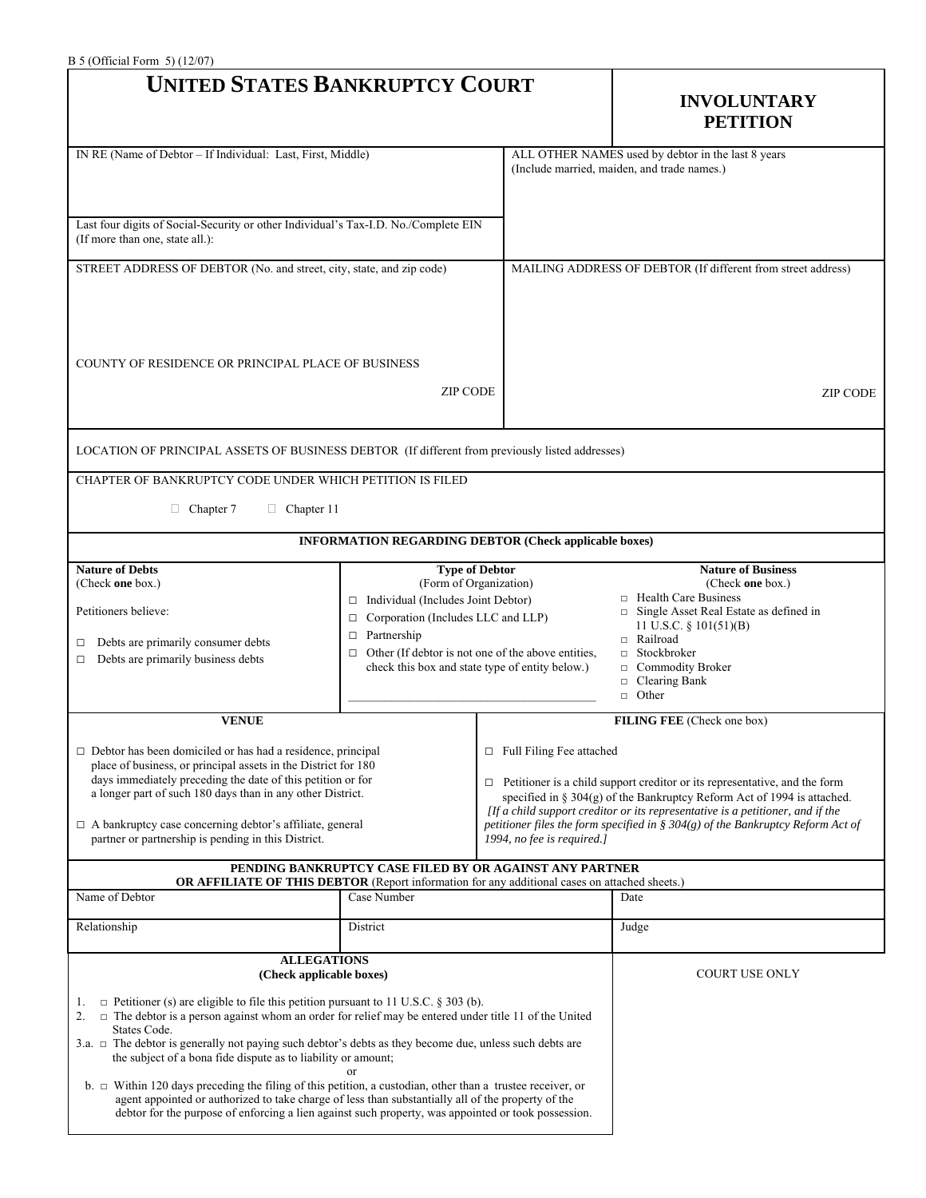| $B$ 5 (Official Form 5) (12/07)<br><b>UNITED STATES BANKRUPTCY COURT</b>                                                                                                                                                                                                                                                                                                                                                                                               |                                                                                                                                                                                                                                                                                    |                                                                                                                                                                                                                                                                                                                                                                                                       | <b>INVOLUNTARY</b><br><b>PETITION</b>                                                                                                                                                                                                                            |  |
|------------------------------------------------------------------------------------------------------------------------------------------------------------------------------------------------------------------------------------------------------------------------------------------------------------------------------------------------------------------------------------------------------------------------------------------------------------------------|------------------------------------------------------------------------------------------------------------------------------------------------------------------------------------------------------------------------------------------------------------------------------------|-------------------------------------------------------------------------------------------------------------------------------------------------------------------------------------------------------------------------------------------------------------------------------------------------------------------------------------------------------------------------------------------------------|------------------------------------------------------------------------------------------------------------------------------------------------------------------------------------------------------------------------------------------------------------------|--|
| IN RE (Name of Debtor - If Individual: Last, First, Middle)                                                                                                                                                                                                                                                                                                                                                                                                            |                                                                                                                                                                                                                                                                                    |                                                                                                                                                                                                                                                                                                                                                                                                       | ALL OTHER NAMES used by debtor in the last 8 years<br>(Include married, maiden, and trade names.)                                                                                                                                                                |  |
| Last four digits of Social-Security or other Individual's Tax-I.D. No./Complete EIN<br>(If more than one, state all.):                                                                                                                                                                                                                                                                                                                                                 |                                                                                                                                                                                                                                                                                    |                                                                                                                                                                                                                                                                                                                                                                                                       |                                                                                                                                                                                                                                                                  |  |
| STREET ADDRESS OF DEBTOR (No. and street, city, state, and zip code)                                                                                                                                                                                                                                                                                                                                                                                                   |                                                                                                                                                                                                                                                                                    |                                                                                                                                                                                                                                                                                                                                                                                                       | MAILING ADDRESS OF DEBTOR (If different from street address)                                                                                                                                                                                                     |  |
| COUNTY OF RESIDENCE OR PRINCIPAL PLACE OF BUSINESS<br><b>ZIP CODE</b>                                                                                                                                                                                                                                                                                                                                                                                                  |                                                                                                                                                                                                                                                                                    |                                                                                                                                                                                                                                                                                                                                                                                                       | <b>ZIP CODE</b>                                                                                                                                                                                                                                                  |  |
| LOCATION OF PRINCIPAL ASSETS OF BUSINESS DEBTOR (If different from previously listed addresses)                                                                                                                                                                                                                                                                                                                                                                        |                                                                                                                                                                                                                                                                                    |                                                                                                                                                                                                                                                                                                                                                                                                       |                                                                                                                                                                                                                                                                  |  |
| CHAPTER OF BANKRUPTCY CODE UNDER WHICH PETITION IS FILED<br>$\Box$ Chapter 7<br>$\Box$ Chapter 11                                                                                                                                                                                                                                                                                                                                                                      |                                                                                                                                                                                                                                                                                    |                                                                                                                                                                                                                                                                                                                                                                                                       |                                                                                                                                                                                                                                                                  |  |
|                                                                                                                                                                                                                                                                                                                                                                                                                                                                        | <b>INFORMATION REGARDING DEBTOR (Check applicable boxes)</b>                                                                                                                                                                                                                       |                                                                                                                                                                                                                                                                                                                                                                                                       |                                                                                                                                                                                                                                                                  |  |
| <b>Nature of Debts</b><br>(Check one box.)<br>Petitioners believe:<br>Debts are primarily consumer debts<br>□<br>Debts are primarily business debts<br>□                                                                                                                                                                                                                                                                                                               | <b>Type of Debtor</b><br>(Form of Organization)<br>$\Box$ Individual (Includes Joint Debtor)<br>Corporation (Includes LLC and LLP)<br>$\Box$<br>$\Box$ Partnership<br>$\Box$ Other (If debtor is not one of the above entities,<br>check this box and state type of entity below.) |                                                                                                                                                                                                                                                                                                                                                                                                       | <b>Nature of Business</b><br>(Check one box.)<br>$\Box$ Health Care Business<br>Single Asset Real Estate as defined in<br>11 U.S.C. $\S$ 101(51)(B)<br>□ Railroad<br>$\Box$ Stockbroker<br>Commodity Broker<br>$\Box$<br>Clearing Bank<br>$\Box$<br>$\Box$ Other |  |
| <b>VENUE</b>                                                                                                                                                                                                                                                                                                                                                                                                                                                           |                                                                                                                                                                                                                                                                                    |                                                                                                                                                                                                                                                                                                                                                                                                       | FILING FEE (Check one box)                                                                                                                                                                                                                                       |  |
| Debtor has been domiciled or has had a residence, principal<br>place of business, or principal assets in the District for 180<br>days immediately preceding the date of this petition or for<br>a longer part of such 180 days than in any other District.<br>$\Box$ A bankruptcy case concerning debtor's affiliate, general<br>partner or partnership is pending in this District.                                                                                   |                                                                                                                                                                                                                                                                                    | $\Box$ Full Filing Fee attached<br>$\Box$ Petitioner is a child support creditor or its representative, and the form<br>specified in $\S$ 304(g) of the Bankruptcy Reform Act of 1994 is attached.<br>[If a child support creditor or its representative is a petitioner, and if the<br>petitioner files the form specified in § 304(g) of the Bankruptcy Reform Act of<br>1994, no fee is required.] |                                                                                                                                                                                                                                                                  |  |
| <b>OR AFFILIATE OF THIS DEBTOR</b> (Report information for any additional cases on attached sheets.)                                                                                                                                                                                                                                                                                                                                                                   | PENDING BANKRUPTCY CASE FILED BY OR AGAINST ANY PARTNER                                                                                                                                                                                                                            |                                                                                                                                                                                                                                                                                                                                                                                                       |                                                                                                                                                                                                                                                                  |  |
| Name of Debtor                                                                                                                                                                                                                                                                                                                                                                                                                                                         | Case Number                                                                                                                                                                                                                                                                        |                                                                                                                                                                                                                                                                                                                                                                                                       | Date                                                                                                                                                                                                                                                             |  |
| Relationship                                                                                                                                                                                                                                                                                                                                                                                                                                                           | District                                                                                                                                                                                                                                                                           |                                                                                                                                                                                                                                                                                                                                                                                                       | Judge                                                                                                                                                                                                                                                            |  |
| <b>ALLEGATIONS</b><br>(Check applicable boxes)<br>$\Box$ Petitioner (s) are eligible to file this petition pursuant to 11 U.S.C. § 303 (b).<br>1.<br>$\Box$ The debtor is a person against whom an order for relief may be entered under title 11 of the United<br>2.<br>States Code.<br>3.a. $\Box$ The debtor is generally not paying such debtor's debts as they become due, unless such debts are<br>the subject of a bona fide dispute as to liability or amount; |                                                                                                                                                                                                                                                                                    | <b>COURT USE ONLY</b>                                                                                                                                                                                                                                                                                                                                                                                 |                                                                                                                                                                                                                                                                  |  |
| b. $\Box$ Within 120 days preceding the filing of this petition, a custodian, other than a trustee receiver, or<br>agent appointed or authorized to take charge of less than substantially all of the property of the<br>debtor for the purpose of enforcing a lien against such property, was appointed or took possession.                                                                                                                                           |                                                                                                                                                                                                                                                                                    |                                                                                                                                                                                                                                                                                                                                                                                                       |                                                                                                                                                                                                                                                                  |  |